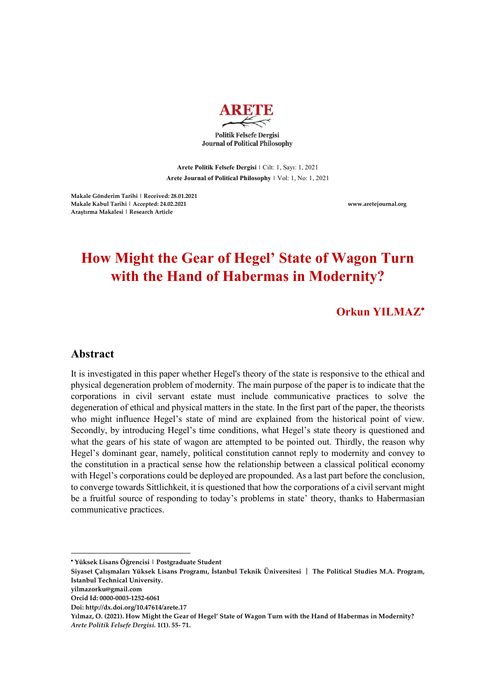

**Arete Politik Felsefe Dergisi |** Cilt: 1, Sayı: 1, 2021 **Arete Journal of Political Philosophy |** Vol: 1, No: 1, 2021

**Makale Gönderim Tarihi | Received: 28.01.2021 Makale Kabul Tarihi | Accepted: 24.02.2021 www.aretejournal.org Araştırma Makalesi | Research Article**

# **How Might the Gear of Hegel' State of Wagon Turn with the Hand of Habermas in Modernity?**

**Orkun YILMAZ**\*

## **Abstract**

It is investigated in this paper whether Hegel's theory of the state is responsive to the ethical and physical degeneration problem of modernity. The main purpose of the paper is to indicate that the corporations in civil servant estate must include communicative practices to solve the degeneration of ethical and physical matters in the state. In the first part of the paper, the theorists who might influence Hegel's state of mind are explained from the historical point of view. Secondly, by introducing Hegel's time conditions, what Hegel's state theory is questioned and what the gears of his state of wagon are attempted to be pointed out. Thirdly, the reason why Hegel's dominant gear, namely, political constitution cannot reply to modernity and convey to the constitution in a practical sense how the relationship between a classical political economy with Hegel's corporations could be deployed are propounded. As a last part before the conclusion, to converge towards Sittlichkeit, it is questioned that how the corporations of a civil servant might be a fruitful source of responding to today's problems in state' theory, thanks to Habermasian communicative practices.

l

<sup>\*</sup> **Yüksek Lisans Öğrencisi | Postgraduate Student** 

**Siyaset Çalışmaları Yüksek Lisans Programı, İstanbul Teknik Üniversitesi** │ **The Political Studies M.A. Program, Istanbul Technical University.**

**yilmazorku@gmail.com**

**Orcid Id: 0000-0003-1252-6061**

**Doi: http://dx.doi.org/10.47614/arete.17**

**Yılmaz, O. (2021). How Might the Gear of Hegel' State of Wagon Turn with the Hand of Habermas in Modernity?** *Arete Politik Felsefe Dergisi.* **1(1). 55- 71.**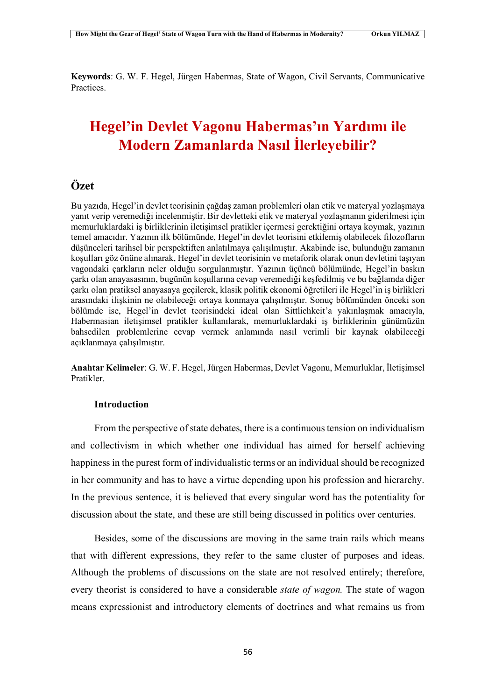**Keywords**: G. W. F. Hegel, Jürgen Habermas, State of Wagon, Civil Servants, Communicative Practices.

# **Hegel'in Devlet Vagonu Habermas'ın Yardımı ile Modern Zamanlarda Nasıl İlerleyebilir?**

## **Özet**

Bu yazıda, Hegel'in devlet teorisinin çağdaş zaman problemleri olan etik ve materyal yozlaşmaya yanıt verip veremediği incelenmiştir. Bir devletteki etik ve materyal yozlaşmanın giderilmesi için memurluklardaki iş birliklerinin iletişimsel pratikler içermesi gerektiğini ortaya koymak, yazının temel amacıdır. Yazının ilk bölümünde, Hegel'in devlet teorisini etkilemiş olabilecek filozofların düşünceleri tarihsel bir perspektiften anlatılmaya çalışılmıştır. Akabinde ise, bulunduğu zamanın koşulları göz önüne alınarak, Hegel'in devlet teorisinin ve metaforik olarak onun devletini taşıyan vagondaki çarkların neler olduğu sorgulanmıştır. Yazının üçüncü bölümünde, Hegel'in baskın çarkı olan anayasasının, bugünün koşullarına cevap veremediği keşfedilmiş ve bu bağlamda diğer çarkı olan pratiksel anayasaya geçilerek, klasik politik ekonomi öğretileri ile Hegel'in iş birlikleri arasındaki ilişkinin ne olabileceği ortaya konmaya çalışılmıştır. Sonuç bölümünden önceki son bölümde ise, Hegel'in devlet teorisindeki ideal olan Sittlichkeit'a yakınlaşmak amacıyla, Habermasian iletişimsel pratikler kullanılarak, memurluklardaki iş birliklerinin günümüzün bahsedilen problemlerine cevap vermek anlamında nasıl verimli bir kaynak olabileceği açıklanmaya çalışılmıştır.

**Anahtar Kelimeler**: G. W. F. Hegel, Jürgen Habermas, Devlet Vagonu, Memurluklar, İletişimsel Pratikler.

### **Introduction**

From the perspective of state debates, there is a continuous tension on individualism and collectivism in which whether one individual has aimed for herself achieving happiness in the purest form of individualistic terms or an individual should be recognized in her community and has to have a virtue depending upon his profession and hierarchy. In the previous sentence, it is believed that every singular word has the potentiality for discussion about the state, and these are still being discussed in politics over centuries.

Besides, some of the discussions are moving in the same train rails which means that with different expressions, they refer to the same cluster of purposes and ideas. Although the problems of discussions on the state are not resolved entirely; therefore, every theorist is considered to have a considerable *state of wagon.* The state of wagon means expressionist and introductory elements of doctrines and what remains us from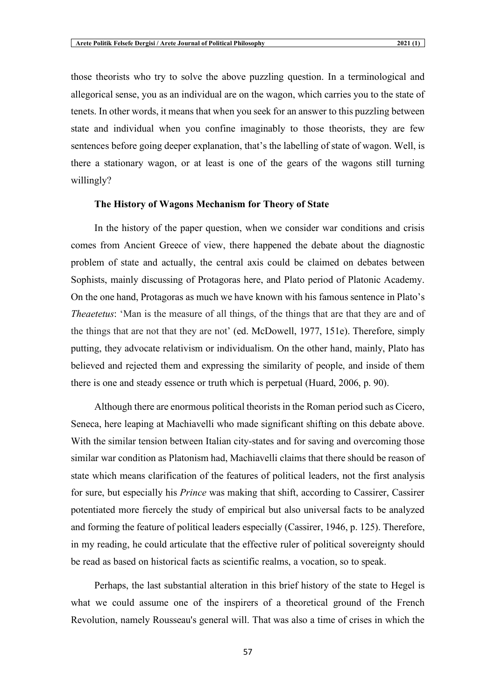those theorists who try to solve the above puzzling question. In a terminological and allegorical sense, you as an individual are on the wagon, which carries you to the state of tenets. In other words, it means that when you seek for an answer to this puzzling between state and individual when you confine imaginably to those theorists, they are few sentences before going deeper explanation, that's the labelling of state of wagon. Well, is there a stationary wagon, or at least is one of the gears of the wagons still turning willingly?

#### **The History of Wagons Mechanism for Theory of State**

In the history of the paper question, when we consider war conditions and crisis comes from Ancient Greece of view, there happened the debate about the diagnostic problem of state and actually, the central axis could be claimed on debates between Sophists, mainly discussing of Protagoras here, and Plato period of Platonic Academy. On the one hand, Protagoras as much we have known with his famous sentence in Plato's *Theaetetus*: 'Man is the measure of all things, of the things that are that they are and of the things that are not that they are not' (ed. McDowell, 1977, 151e). Therefore, simply putting, they advocate relativism or individualism. On the other hand, mainly, Plato has believed and rejected them and expressing the similarity of people, and inside of them there is one and steady essence or truth which is perpetual (Huard, 2006, p. 90).

Although there are enormous political theorists in the Roman period such as Cicero, Seneca, here leaping at Machiavelli who made significant shifting on this debate above. With the similar tension between Italian city-states and for saving and overcoming those similar war condition as Platonism had, Machiavelli claims that there should be reason of state which means clarification of the features of political leaders, not the first analysis for sure, but especially his *Prince* was making that shift, according to Cassirer, Cassirer potentiated more fiercely the study of empirical but also universal facts to be analyzed and forming the feature of political leaders especially (Cassirer, 1946, p. 125). Therefore, in my reading, he could articulate that the effective ruler of political sovereignty should be read as based on historical facts as scientific realms, a vocation, so to speak.

Perhaps, the last substantial alteration in this brief history of the state to Hegel is what we could assume one of the inspirers of a theoretical ground of the French Revolution, namely Rousseau's general will. That was also a time of crises in which the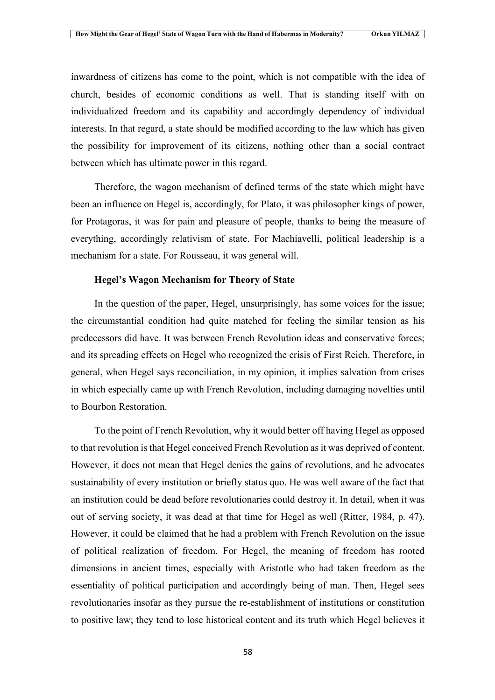inwardness of citizens has come to the point, which is not compatible with the idea of church, besides of economic conditions as well. That is standing itself with on individualized freedom and its capability and accordingly dependency of individual interests. In that regard, a state should be modified according to the law which has given the possibility for improvement of its citizens, nothing other than a social contract between which has ultimate power in this regard.

Therefore, the wagon mechanism of defined terms of the state which might have been an influence on Hegel is, accordingly, for Plato, it was philosopher kings of power, for Protagoras, it was for pain and pleasure of people, thanks to being the measure of everything, accordingly relativism of state. For Machiavelli, political leadership is a mechanism for a state. For Rousseau, it was general will.

#### **Hegel's Wagon Mechanism for Theory of State**

In the question of the paper, Hegel, unsurprisingly, has some voices for the issue; the circumstantial condition had quite matched for feeling the similar tension as his predecessors did have. It was between French Revolution ideas and conservative forces; and its spreading effects on Hegel who recognized the crisis of First Reich. Therefore, in general, when Hegel says reconciliation, in my opinion, it implies salvation from crises in which especially came up with French Revolution, including damaging novelties until to Bourbon Restoration.

To the point of French Revolution, why it would better off having Hegel as opposed to that revolution is that Hegel conceived French Revolution as it was deprived of content. However, it does not mean that Hegel denies the gains of revolutions, and he advocates sustainability of every institution or briefly status quo. He was well aware of the fact that an institution could be dead before revolutionaries could destroy it. In detail, when it was out of serving society, it was dead at that time for Hegel as well (Ritter, 1984, p. 47). However, it could be claimed that he had a problem with French Revolution on the issue of political realization of freedom. For Hegel, the meaning of freedom has rooted dimensions in ancient times, especially with Aristotle who had taken freedom as the essentiality of political participation and accordingly being of man. Then, Hegel sees revolutionaries insofar as they pursue the re-establishment of institutions or constitution to positive law; they tend to lose historical content and its truth which Hegel believes it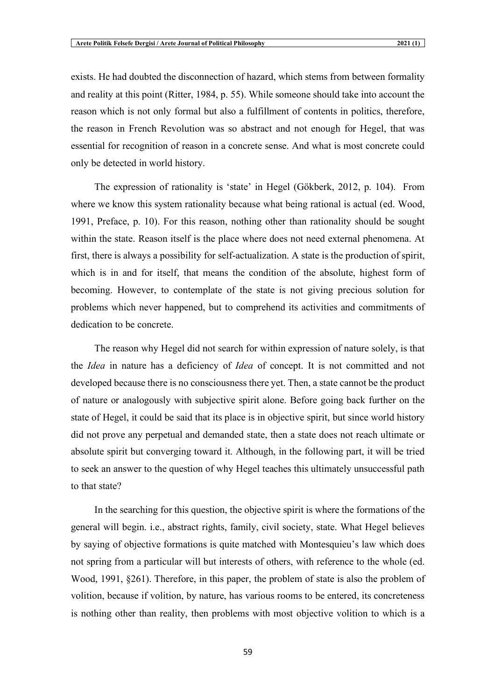exists. He had doubted the disconnection of hazard, which stems from between formality and reality at this point (Ritter, 1984, p. 55). While someone should take into account the reason which is not only formal but also a fulfillment of contents in politics, therefore, the reason in French Revolution was so abstract and not enough for Hegel, that was essential for recognition of reason in a concrete sense. And what is most concrete could only be detected in world history.

The expression of rationality is 'state' in Hegel (Gökberk, 2012, p. 104). From where we know this system rationality because what being rational is actual (ed. Wood, 1991, Preface, p. 10). For this reason, nothing other than rationality should be sought within the state. Reason itself is the place where does not need external phenomena. At first, there is always a possibility for self-actualization. A state is the production of spirit, which is in and for itself, that means the condition of the absolute, highest form of becoming. However, to contemplate of the state is not giving precious solution for problems which never happened, but to comprehend its activities and commitments of dedication to be concrete.

The reason why Hegel did not search for within expression of nature solely, is that the *Idea* in nature has a deficiency of *Idea* of concept. It is not committed and not developed because there is no consciousness there yet. Then, a state cannot be the product of nature or analogously with subjective spirit alone. Before going back further on the state of Hegel, it could be said that its place is in objective spirit, but since world history did not prove any perpetual and demanded state, then a state does not reach ultimate or absolute spirit but converging toward it. Although, in the following part, it will be tried to seek an answer to the question of why Hegel teaches this ultimately unsuccessful path to that state?

In the searching for this question, the objective spirit is where the formations of the general will begin. i.e., abstract rights, family, civil society, state. What Hegel believes by saying of objective formations is quite matched with Montesquieu's law which does not spring from a particular will but interests of others, with reference to the whole (ed. Wood, 1991, §261). Therefore, in this paper, the problem of state is also the problem of volition, because if volition, by nature, has various rooms to be entered, its concreteness is nothing other than reality, then problems with most objective volition to which is a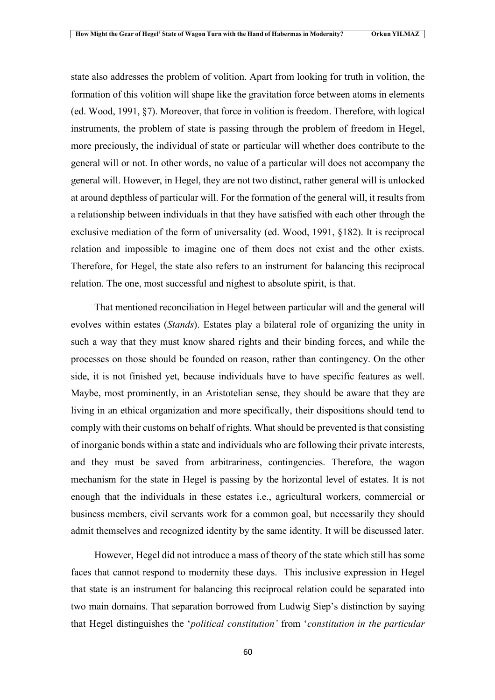state also addresses the problem of volition. Apart from looking for truth in volition, the formation of this volition will shape like the gravitation force between atoms in elements (ed. Wood, 1991, §7). Moreover, that force in volition is freedom. Therefore, with logical instruments, the problem of state is passing through the problem of freedom in Hegel, more preciously, the individual of state or particular will whether does contribute to the general will or not. In other words, no value of a particular will does not accompany the general will. However, in Hegel, they are not two distinct, rather general will is unlocked at around depthless of particular will. For the formation of the general will, it results from a relationship between individuals in that they have satisfied with each other through the exclusive mediation of the form of universality (ed. Wood, 1991, §182). It is reciprocal relation and impossible to imagine one of them does not exist and the other exists. Therefore, for Hegel, the state also refers to an instrument for balancing this reciprocal relation. The one, most successful and nighest to absolute spirit, is that.

That mentioned reconciliation in Hegel between particular will and the general will evolves within estates (*Stands*). Estates play a bilateral role of organizing the unity in such a way that they must know shared rights and their binding forces, and while the processes on those should be founded on reason, rather than contingency. On the other side, it is not finished yet, because individuals have to have specific features as well. Maybe, most prominently, in an Aristotelian sense, they should be aware that they are living in an ethical organization and more specifically, their dispositions should tend to comply with their customs on behalf of rights. What should be prevented is that consisting of inorganic bonds within a state and individuals who are following their private interests, and they must be saved from arbitrariness, contingencies. Therefore, the wagon mechanism for the state in Hegel is passing by the horizontal level of estates. It is not enough that the individuals in these estates i.e., agricultural workers, commercial or business members, civil servants work for a common goal, but necessarily they should admit themselves and recognized identity by the same identity. It will be discussed later.

However, Hegel did not introduce a mass of theory of the state which still has some faces that cannot respond to modernity these days. This inclusive expression in Hegel that state is an instrument for balancing this reciprocal relation could be separated into two main domains. That separation borrowed from Ludwig Siep's distinction by saying that Hegel distinguishes the '*political constitution'* from '*constitution in the particular*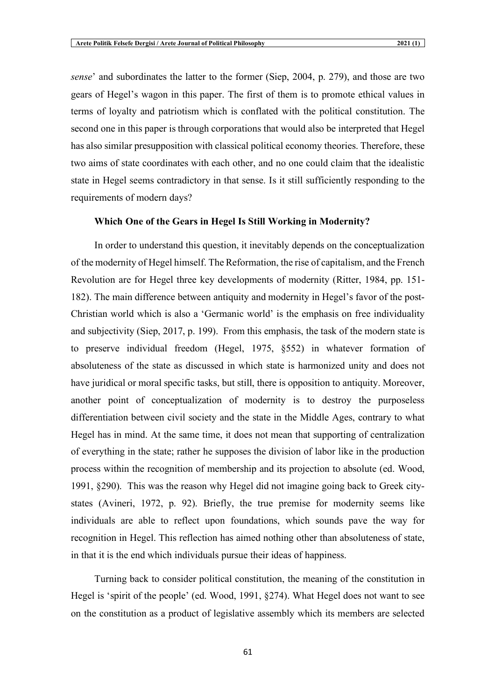*sense*' and subordinates the latter to the former (Siep, 2004, p. 279), and those are two gears of Hegel's wagon in this paper. The first of them is to promote ethical values in terms of loyalty and patriotism which is conflated with the political constitution. The second one in this paper is through corporations that would also be interpreted that Hegel has also similar presupposition with classical political economy theories. Therefore, these two aims of state coordinates with each other, and no one could claim that the idealistic state in Hegel seems contradictory in that sense. Is it still sufficiently responding to the requirements of modern days?

#### **Which One of the Gears in Hegel Is Still Working in Modernity?**

In order to understand this question, it inevitably depends on the conceptualization of the modernity of Hegel himself. The Reformation, the rise of capitalism, and the French Revolution are for Hegel three key developments of modernity (Ritter, 1984, pp. 151- 182). The main difference between antiquity and modernity in Hegel's favor of the post-Christian world which is also a 'Germanic world' is the emphasis on free individuality and subjectivity (Siep, 2017, p. 199). From this emphasis, the task of the modern state is to preserve individual freedom (Hegel, 1975, §552) in whatever formation of absoluteness of the state as discussed in which state is harmonized unity and does not have juridical or moral specific tasks, but still, there is opposition to antiquity. Moreover, another point of conceptualization of modernity is to destroy the purposeless differentiation between civil society and the state in the Middle Ages, contrary to what Hegel has in mind. At the same time, it does not mean that supporting of centralization of everything in the state; rather he supposes the division of labor like in the production process within the recognition of membership and its projection to absolute (ed. Wood, 1991, §290). This was the reason why Hegel did not imagine going back to Greek citystates (Avineri, 1972, p. 92). Briefly, the true premise for modernity seems like individuals are able to reflect upon foundations, which sounds pave the way for recognition in Hegel. This reflection has aimed nothing other than absoluteness of state, in that it is the end which individuals pursue their ideas of happiness.

Turning back to consider political constitution, the meaning of the constitution in Hegel is 'spirit of the people' (ed. Wood, 1991, §274). What Hegel does not want to see on the constitution as a product of legislative assembly which its members are selected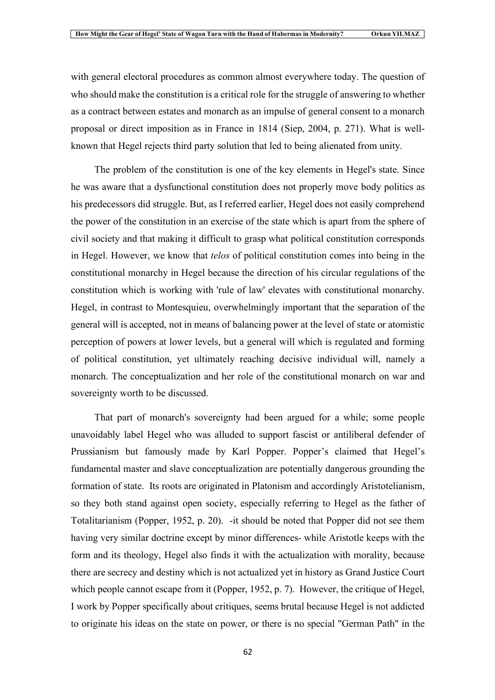with general electoral procedures as common almost everywhere today. The question of who should make the constitution is a critical role for the struggle of answering to whether as a contract between estates and monarch as an impulse of general consent to a monarch proposal or direct imposition as in France in 1814 (Siep, 2004, p. 271). What is wellknown that Hegel rejects third party solution that led to being alienated from unity.

The problem of the constitution is one of the key elements in Hegel's state. Since he was aware that a dysfunctional constitution does not properly move body politics as his predecessors did struggle. But, as I referred earlier, Hegel does not easily comprehend the power of the constitution in an exercise of the state which is apart from the sphere of civil society and that making it difficult to grasp what political constitution corresponds in Hegel. However, we know that *telos* of political constitution comes into being in the constitutional monarchy in Hegel because the direction of his circular regulations of the constitution which is working with 'rule of law' elevates with constitutional monarchy. Hegel, in contrast to Montesquieu, overwhelmingly important that the separation of the general will is accepted, not in means of balancing power at the level of state or atomistic perception of powers at lower levels, but a general will which is regulated and forming of political constitution, yet ultimately reaching decisive individual will, namely a monarch. The conceptualization and her role of the constitutional monarch on war and sovereignty worth to be discussed.

That part of monarch's sovereignty had been argued for a while; some people unavoidably label Hegel who was alluded to support fascist or antiliberal defender of Prussianism but famously made by Karl Popper. Popper's claimed that Hegel's fundamental master and slave conceptualization are potentially dangerous grounding the formation of state. Its roots are originated in Platonism and accordingly Aristotelianism, so they both stand against open society, especially referring to Hegel as the father of Totalitarianism (Popper, 1952, p. 20). -it should be noted that Popper did not see them having very similar doctrine except by minor differences- while Aristotle keeps with the form and its theology, Hegel also finds it with the actualization with morality, because there are secrecy and destiny which is not actualized yet in history as Grand Justice Court which people cannot escape from it (Popper, 1952, p. 7). However, the critique of Hegel, I work by Popper specifically about critiques, seems brutal because Hegel is not addicted to originate his ideas on the state on power, or there is no special "German Path" in the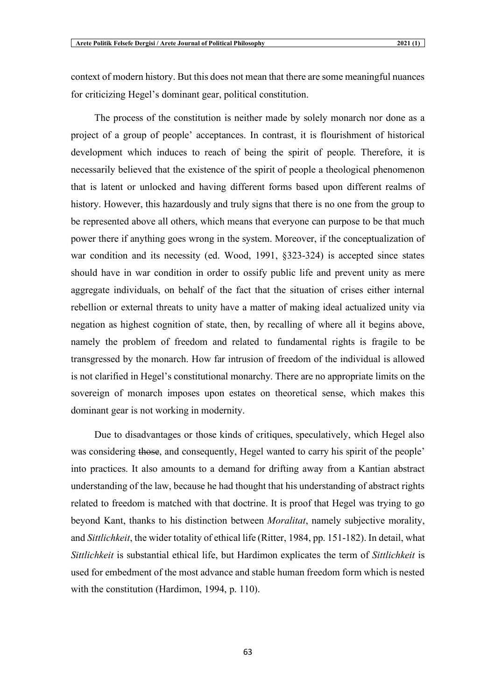context of modern history. But this does not mean that there are some meaningful nuances for criticizing Hegel's dominant gear, political constitution.

The process of the constitution is neither made by solely monarch nor done as a project of a group of people' acceptances. In contrast, it is flourishment of historical development which induces to reach of being the spirit of people. Therefore, it is necessarily believed that the existence of the spirit of people a theological phenomenon that is latent or unlocked and having different forms based upon different realms of history. However, this hazardously and truly signs that there is no one from the group to be represented above all others, which means that everyone can purpose to be that much power there if anything goes wrong in the system. Moreover, if the conceptualization of war condition and its necessity (ed. Wood, 1991, §323-324) is accepted since states should have in war condition in order to ossify public life and prevent unity as mere aggregate individuals, on behalf of the fact that the situation of crises either internal rebellion or external threats to unity have a matter of making ideal actualized unity via negation as highest cognition of state, then, by recalling of where all it begins above, namely the problem of freedom and related to fundamental rights is fragile to be transgressed by the monarch. How far intrusion of freedom of the individual is allowed is not clarified in Hegel's constitutional monarchy. There are no appropriate limits on the sovereign of monarch imposes upon estates on theoretical sense, which makes this dominant gear is not working in modernity.

Due to disadvantages or those kinds of critiques, speculatively, which Hegel also was considering those, and consequently, Hegel wanted to carry his spirit of the people' into practices. It also amounts to a demand for drifting away from a Kantian abstract understanding of the law, because he had thought that his understanding of abstract rights related to freedom is matched with that doctrine. It is proof that Hegel was trying to go beyond Kant, thanks to his distinction between *Moralitat*, namely subjective morality, and *Sittlichkeit*, the wider totality of ethical life (Ritter, 1984, pp. 151-182). In detail, what *Sittlichkeit* is substantial ethical life, but Hardimon explicates the term of *Sittlichkeit* is used for embedment of the most advance and stable human freedom form which is nested with the constitution (Hardimon, 1994, p. 110).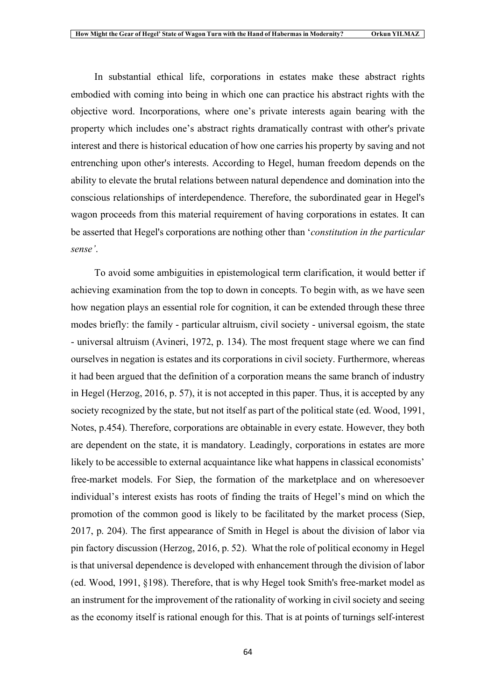In substantial ethical life, corporations in estates make these abstract rights embodied with coming into being in which one can practice his abstract rights with the objective word. Incorporations, where one's private interests again bearing with the property which includes one's abstract rights dramatically contrast with other's private interest and there is historical education of how one carries his property by saving and not entrenching upon other's interests. According to Hegel, human freedom depends on the ability to elevate the brutal relations between natural dependence and domination into the conscious relationships of interdependence. Therefore, the subordinated gear in Hegel's wagon proceeds from this material requirement of having corporations in estates. It can be asserted that Hegel's corporations are nothing other than '*constitution in the particular sense'*.

To avoid some ambiguities in epistemological term clarification, it would better if achieving examination from the top to down in concepts. To begin with, as we have seen how negation plays an essential role for cognition, it can be extended through these three modes briefly: the family - particular altruism, civil society - universal egoism, the state - universal altruism (Avineri, 1972, p. 134). The most frequent stage where we can find ourselves in negation is estates and its corporations in civil society. Furthermore, whereas it had been argued that the definition of a corporation means the same branch of industry in Hegel (Herzog, 2016, p. 57), it is not accepted in this paper. Thus, it is accepted by any society recognized by the state, but not itself as part of the political state (ed. Wood, 1991, Notes, p.454). Therefore, corporations are obtainable in every estate. However, they both are dependent on the state, it is mandatory. Leadingly, corporations in estates are more likely to be accessible to external acquaintance like what happens in classical economists' free-market models. For Siep, the formation of the marketplace and on wheresoever individual's interest exists has roots of finding the traits of Hegel's mind on which the promotion of the common good is likely to be facilitated by the market process (Siep, 2017, p. 204). The first appearance of Smith in Hegel is about the division of labor via pin factory discussion (Herzog, 2016, p. 52). What the role of political economy in Hegel is that universal dependence is developed with enhancement through the division of labor (ed. Wood, 1991, §198). Therefore, that is why Hegel took Smith's free-market model as an instrument for the improvement of the rationality of working in civil society and seeing as the economy itself is rational enough for this. That is at points of turnings self-interest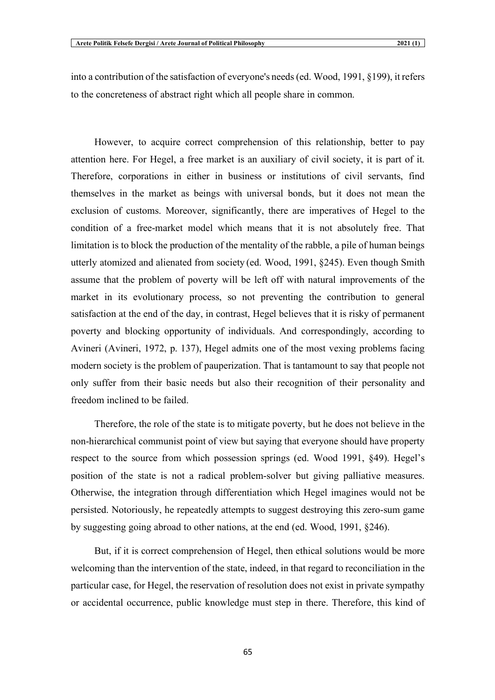into a contribution of the satisfaction of everyone's needs (ed. Wood, 1991, §199), it refers to the concreteness of abstract right which all people share in common.

However, to acquire correct comprehension of this relationship, better to pay attention here. For Hegel, a free market is an auxiliary of civil society, it is part of it. Therefore, corporations in either in business or institutions of civil servants, find themselves in the market as beings with universal bonds, but it does not mean the exclusion of customs. Moreover, significantly, there are imperatives of Hegel to the condition of a free-market model which means that it is not absolutely free. That limitation is to block the production of the mentality of the rabble, a pile of human beings utterly atomized and alienated from society (ed. Wood, 1991, §245). Even though Smith assume that the problem of poverty will be left off with natural improvements of the market in its evolutionary process, so not preventing the contribution to general satisfaction at the end of the day, in contrast, Hegel believes that it is risky of permanent poverty and blocking opportunity of individuals. And correspondingly, according to Avineri (Avineri, 1972, p. 137), Hegel admits one of the most vexing problems facing modern society is the problem of pauperization. That is tantamount to say that people not only suffer from their basic needs but also their recognition of their personality and freedom inclined to be failed.

Therefore, the role of the state is to mitigate poverty, but he does not believe in the non-hierarchical communist point of view but saying that everyone should have property respect to the source from which possession springs (ed. Wood 1991, §49). Hegel's position of the state is not a radical problem-solver but giving palliative measures. Otherwise, the integration through differentiation which Hegel imagines would not be persisted. Notoriously, he repeatedly attempts to suggest destroying this zero-sum game by suggesting going abroad to other nations, at the end (ed. Wood, 1991, §246).

But, if it is correct comprehension of Hegel, then ethical solutions would be more welcoming than the intervention of the state, indeed, in that regard to reconciliation in the particular case, for Hegel, the reservation of resolution does not exist in private sympathy or accidental occurrence, public knowledge must step in there. Therefore, this kind of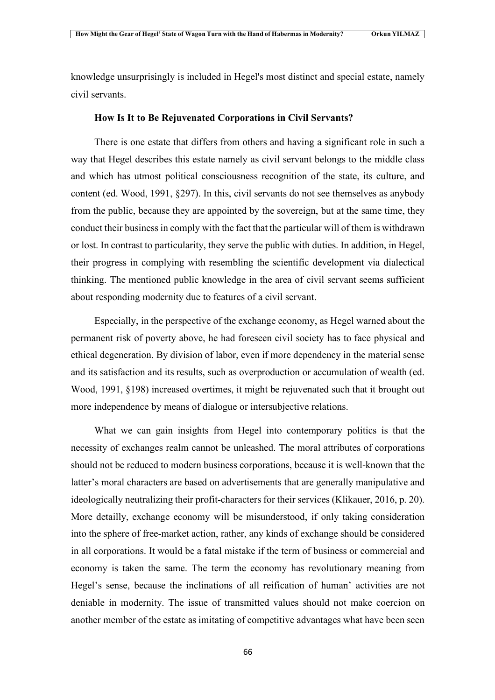knowledge unsurprisingly is included in Hegel's most distinct and special estate, namely civil servants.

#### **How Is It to Be Rejuvenated Corporations in Civil Servants?**

There is one estate that differs from others and having a significant role in such a way that Hegel describes this estate namely as civil servant belongs to the middle class and which has utmost political consciousness recognition of the state, its culture, and content (ed. Wood, 1991, §297). In this, civil servants do not see themselves as anybody from the public, because they are appointed by the sovereign, but at the same time, they conduct their business in comply with the fact that the particular will of them is withdrawn or lost. In contrast to particularity, they serve the public with duties. In addition, in Hegel, their progress in complying with resembling the scientific development via dialectical thinking. The mentioned public knowledge in the area of civil servant seems sufficient about responding modernity due to features of a civil servant.

Especially, in the perspective of the exchange economy, as Hegel warned about the permanent risk of poverty above, he had foreseen civil society has to face physical and ethical degeneration. By division of labor, even if more dependency in the material sense and its satisfaction and its results, such as overproduction or accumulation of wealth (ed. Wood, 1991, §198) increased overtimes, it might be rejuvenated such that it brought out more independence by means of dialogue or intersubjective relations.

What we can gain insights from Hegel into contemporary politics is that the necessity of exchanges realm cannot be unleashed. The moral attributes of corporations should not be reduced to modern business corporations, because it is well-known that the latter's moral characters are based on advertisements that are generally manipulative and ideologically neutralizing their profit-characters for their services (Klikauer, 2016, p. 20). More detailly, exchange economy will be misunderstood, if only taking consideration into the sphere of free-market action, rather, any kinds of exchange should be considered in all corporations. It would be a fatal mistake if the term of business or commercial and economy is taken the same. The term the economy has revolutionary meaning from Hegel's sense, because the inclinations of all reification of human' activities are not deniable in modernity. The issue of transmitted values should not make coercion on another member of the estate as imitating of competitive advantages what have been seen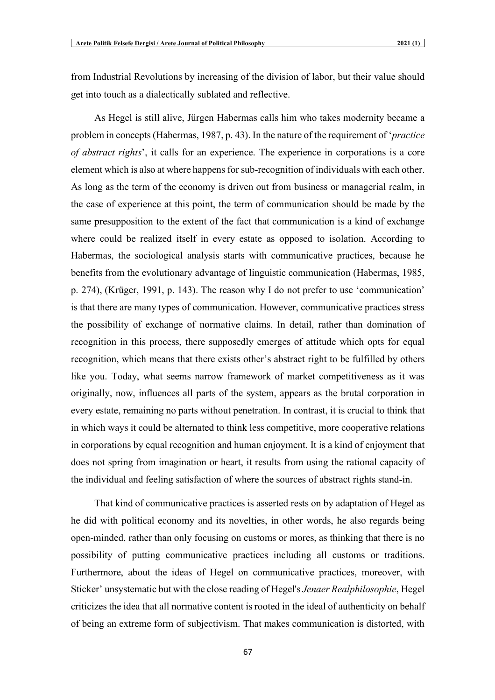from Industrial Revolutions by increasing of the division of labor, but their value should get into touch as a dialectically sublated and reflective.

As Hegel is still alive, Jürgen Habermas calls him who takes modernity became a problem in concepts (Habermas, 1987, p. 43). In the nature of the requirement of '*practice of abstract rights*', it calls for an experience. The experience in corporations is a core element which is also at where happens for sub-recognition of individuals with each other. As long as the term of the economy is driven out from business or managerial realm, in the case of experience at this point, the term of communication should be made by the same presupposition to the extent of the fact that communication is a kind of exchange where could be realized itself in every estate as opposed to isolation. According to Habermas, the sociological analysis starts with communicative practices, because he benefits from the evolutionary advantage of linguistic communication (Habermas, 1985, p. 274), (Krüger, 1991, p. 143). The reason why I do not prefer to use 'communication' is that there are many types of communication. However, communicative practices stress the possibility of exchange of normative claims. In detail, rather than domination of recognition in this process, there supposedly emerges of attitude which opts for equal recognition, which means that there exists other's abstract right to be fulfilled by others like you. Today, what seems narrow framework of market competitiveness as it was originally, now, influences all parts of the system, appears as the brutal corporation in every estate, remaining no parts without penetration. In contrast, it is crucial to think that in which ways it could be alternated to think less competitive, more cooperative relations in corporations by equal recognition and human enjoyment. It is a kind of enjoyment that does not spring from imagination or heart, it results from using the rational capacity of the individual and feeling satisfaction of where the sources of abstract rights stand-in.

That kind of communicative practices is asserted rests on by adaptation of Hegel as he did with political economy and its novelties, in other words, he also regards being open-minded, rather than only focusing on customs or mores, as thinking that there is no possibility of putting communicative practices including all customs or traditions. Furthermore, about the ideas of Hegel on communicative practices, moreover, with Sticker' unsystematic but with the close reading of Hegel's *Jenaer Realphilosophie*, Hegel criticizes the idea that all normative content is rooted in the ideal of authenticity on behalf of being an extreme form of subjectivism. That makes communication is distorted, with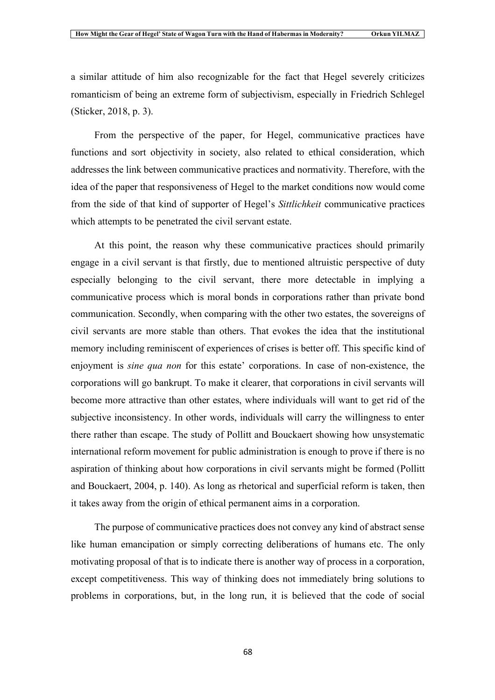a similar attitude of him also recognizable for the fact that Hegel severely criticizes romanticism of being an extreme form of subjectivism, especially in Friedrich Schlegel (Sticker, 2018, p. 3).

From the perspective of the paper, for Hegel, communicative practices have functions and sort objectivity in society, also related to ethical consideration, which addresses the link between communicative practices and normativity. Therefore, with the idea of the paper that responsiveness of Hegel to the market conditions now would come from the side of that kind of supporter of Hegel's *Sittlichkeit* communicative practices which attempts to be penetrated the civil servant estate.

At this point, the reason why these communicative practices should primarily engage in a civil servant is that firstly, due to mentioned altruistic perspective of duty especially belonging to the civil servant, there more detectable in implying a communicative process which is moral bonds in corporations rather than private bond communication. Secondly, when comparing with the other two estates, the sovereigns of civil servants are more stable than others. That evokes the idea that the institutional memory including reminiscent of experiences of crises is better off. This specific kind of enjoyment is *sine qua non* for this estate' corporations. In case of non-existence, the corporations will go bankrupt. To make it clearer, that corporations in civil servants will become more attractive than other estates, where individuals will want to get rid of the subjective inconsistency. In other words, individuals will carry the willingness to enter there rather than escape. The study of Pollitt and Bouckaert showing how unsystematic international reform movement for public administration is enough to prove if there is no aspiration of thinking about how corporations in civil servants might be formed (Pollitt and Bouckaert, 2004, p. 140). As long as rhetorical and superficial reform is taken, then it takes away from the origin of ethical permanent aims in a corporation.

The purpose of communicative practices does not convey any kind of abstract sense like human emancipation or simply correcting deliberations of humans etc. The only motivating proposal of that is to indicate there is another way of process in a corporation, except competitiveness. This way of thinking does not immediately bring solutions to problems in corporations, but, in the long run, it is believed that the code of social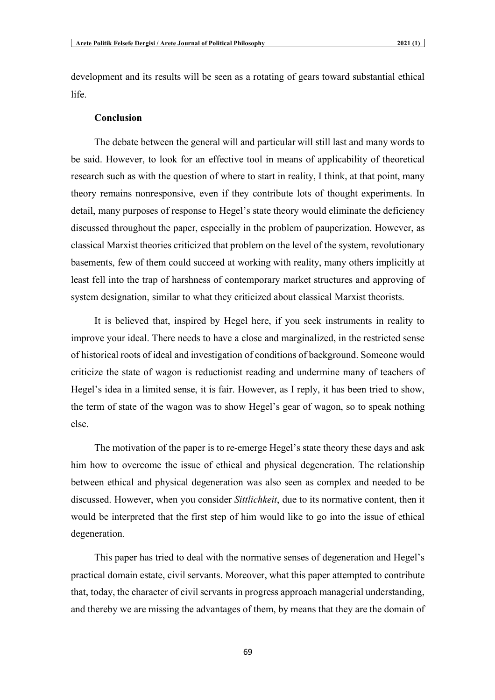development and its results will be seen as a rotating of gears toward substantial ethical life.

#### **Conclusion**

The debate between the general will and particular will still last and many words to be said. However, to look for an effective tool in means of applicability of theoretical research such as with the question of where to start in reality, I think, at that point, many theory remains nonresponsive, even if they contribute lots of thought experiments. In detail, many purposes of response to Hegel's state theory would eliminate the deficiency discussed throughout the paper, especially in the problem of pauperization. However, as classical Marxist theories criticized that problem on the level of the system, revolutionary basements, few of them could succeed at working with reality, many others implicitly at least fell into the trap of harshness of contemporary market structures and approving of system designation, similar to what they criticized about classical Marxist theorists.

It is believed that, inspired by Hegel here, if you seek instruments in reality to improve your ideal. There needs to have a close and marginalized, in the restricted sense of historical roots of ideal and investigation of conditions of background. Someone would criticize the state of wagon is reductionist reading and undermine many of teachers of Hegel's idea in a limited sense, it is fair. However, as I reply, it has been tried to show, the term of state of the wagon was to show Hegel's gear of wagon, so to speak nothing else.

The motivation of the paper is to re-emerge Hegel's state theory these days and ask him how to overcome the issue of ethical and physical degeneration. The relationship between ethical and physical degeneration was also seen as complex and needed to be discussed. However, when you consider *Sittlichkeit*, due to its normative content, then it would be interpreted that the first step of him would like to go into the issue of ethical degeneration.

This paper has tried to deal with the normative senses of degeneration and Hegel's practical domain estate, civil servants. Moreover, what this paper attempted to contribute that, today, the character of civil servants in progress approach managerial understanding, and thereby we are missing the advantages of them, by means that they are the domain of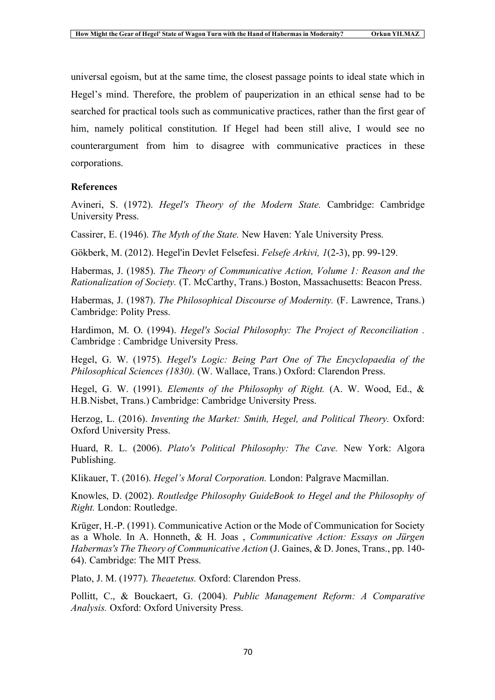universal egoism, but at the same time, the closest passage points to ideal state which in Hegel's mind. Therefore, the problem of pauperization in an ethical sense had to be searched for practical tools such as communicative practices, rather than the first gear of him, namely political constitution. If Hegel had been still alive, I would see no counterargument from him to disagree with communicative practices in these corporations.

### **References**

Avineri, S. (1972). *Hegel's Theory of the Modern State.* Cambridge: Cambridge University Press.

Cassirer, E. (1946). *The Myth of the State.* New Haven: Yale University Press.

Gökberk, M. (2012). Hegel'in Devlet Felsefesi. *Felsefe Arkivi, 1*(2-3), pp. 99-129.

Habermas, J. (1985). *The Theory of Communicative Action, Volume 1: Reason and the Rationalization of Society.* (T. McCarthy, Trans.) Boston, Massachusetts: Beacon Press.

Habermas, J. (1987). *The Philosophical Discourse of Modernity.* (F. Lawrence, Trans.) Cambridge: Polity Press.

Hardimon, M. O. (1994). *Hegel's Social Philosophy: The Project of Reconciliation .* Cambridge : Cambridge University Press.

Hegel, G. W. (1975). *Hegel's Logic: Being Part One of The Encyclopaedia of the Philosophical Sciences (1830).* (W. Wallace, Trans.) Oxford: Clarendon Press.

Hegel, G. W. (1991). *Elements of the Philosophy of Right.* (A. W. Wood, Ed., & H.B.Nisbet, Trans.) Cambridge: Cambridge University Press.

Herzog, L. (2016). *Inventing the Market: Smith, Hegel, and Political Theory.* Oxford: Oxford University Press.

Huard, R. L. (2006). *Plato's Political Philosophy: The Cave.* New York: Algora Publishing.

Klikauer, T. (2016). *Hegel's Moral Corporation.* London: Palgrave Macmillan.

Knowles, D. (2002). *Routledge Philosophy GuideBook to Hegel and the Philosophy of Right.* London: Routledge.

Krüger, H.-P. (1991). Communicative Action or the Mode of Communication for Society as a Whole. In A. Honneth, & H. Joas , *Communicative Action: Essays on Jürgen Habermas's The Theory of Communicative Action* (J. Gaines, & D. Jones, Trans., pp. 140- 64). Cambridge: The MIT Press.

Plato, J. M. (1977). *Theaetetus.* Oxford: Clarendon Press.

Pollitt, C., & Bouckaert, G. (2004). *Public Management Reform: A Comparative Analysis.* Oxford: Oxford University Press.